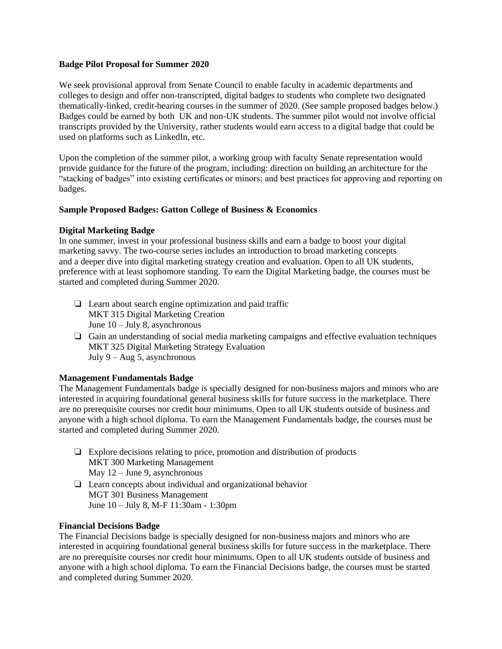#### **Badge Pilot Proposal for Summer 2020**

We seek provisional approval from Senate Council to enable faculty in academic departments and colleges to design and offer non-transcripted, digital badges to students who complete two designated thematically-linked, credit-bearing courses in the summer of 2020. (See sample proposed badges below.) Badges could be earned by both UK and non-UK students. The summer pilot would not involve official transcripts provided by the University, rather students would earn access to a digital badge that could be used on platforms such as LinkedIn, etc.

Upon the completion of the summer pilot, a working group with faculty Senate representation would provide guidance for the future of the program, including: direction on building an architecture for the "stacking of badges" into existing certificates or minors; and best practices for approving and reporting on badges.

### **Sample Proposed Badges: Gatton College of Business & Economics**

### **Digital Marketing Badge**

In one summer, invest in your professional business skills and earn a badge to boost your digital marketing savvy. The two-course series includes an introduction to broad marketing concepts and a deeper dive into digital marketing strategy creation and evaluation. Open to all UK students, preference with at least sophomore standing. To earn the Digital Marketing badge, the courses must be started and completed during Summer 2020.

- ❏ Learn about search engine optimization and paid traffic MKT 315 Digital Marketing Creation June 10 – July 8, asynchronous
- ❏ Gain an understanding of social media marketing campaigns and effective evaluation techniques MKT 325 Digital Marketing Strategy Evaluation July  $9 - Aug\ 5$ , asynchronous

# **Management Fundamentals Badge**

The Management Fundamentals badge is specially designed for non-business majors and minors who are interested in acquiring foundational general business skills for future success in the marketplace. There are no prerequisite courses nor credit hour minimums. Open to all UK students outside of business and anyone with a high school diploma. To earn the Management Fundamentals badge, the courses must be started and completed during Summer 2020.

- ❏ Explore decisions relating to price, promotion and distribution of products MKT 300 Marketing Management May 12 – June 9, asynchronous
- ❏ Learn concepts about individual and organizational behavior MGT 301 Business Management June 10 – July 8, M-F 11:30am - 1:30pm

### **Financial Decisions Badge**

The Financial Decisions badge is specially designed for non-business majors and minors who are interested in acquiring foundational general business skills for future success in the marketplace. There are no prerequisite courses nor credit hour minimums. Open to all UK students outside of business and anyone with a high school diploma. To earn the Financial Decisions badge, the courses must be started and completed during Summer 2020.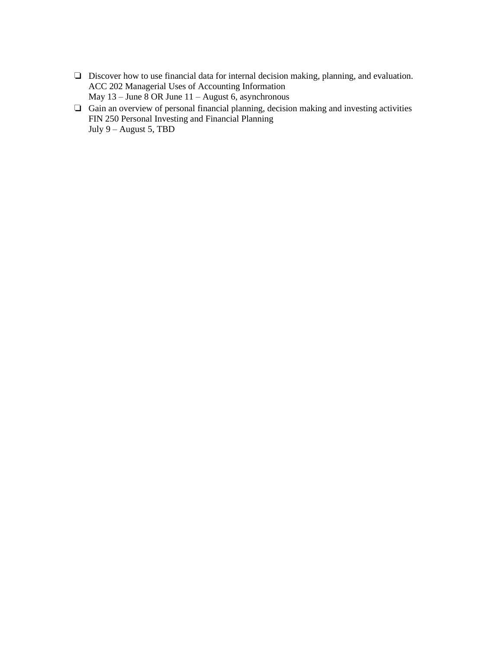- ❏ Discover how to use financial data for internal decision making, planning, and evaluation. ACC 202 Managerial Uses of Accounting Information May 13 – June 8 OR June 11 – August 6, asynchronous
- ❏ Gain an overview of personal financial planning, decision making and investing activities FIN 250 Personal Investing and Financial Planning July 9 – August 5, TBD